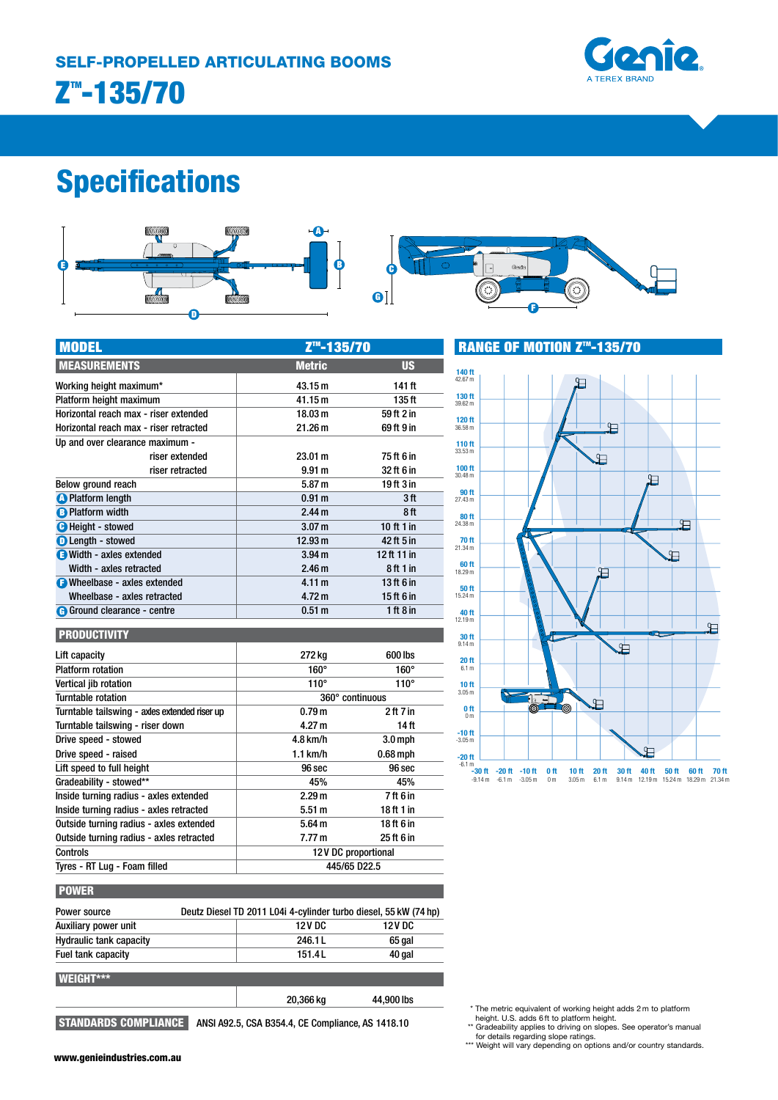

# Specifications



| <b>MODEL</b>                           | Z <u>™-135/</u> 70 |               |
|----------------------------------------|--------------------|---------------|
| <b>MEASUREMENTS</b>                    | <b>Metric</b>      | <b>US</b>     |
| Working height maximum*                | 43.15 m            | 141 ft        |
| Platform height maximum                | 41.15 m            | 135 ft        |
| Horizontal reach max - riser extended  | 18.03 m            | 59 ft 2 in    |
| Horizontal reach max - riser retracted | 21.26 m            | 69 ft 9 in    |
| Up and over clearance maximum -        |                    |               |
| riser extended                         | 23.01 m            | 75 ft 6 in    |
| riser retracted                        | 9.91 <sub>m</sub>  | 32 ft 6 in    |
| Below ground reach                     | 5.87 m             | 19 ft 3 in    |
| <b>A</b> Platform length               | 0.91 <sub>m</sub>  | 3ft           |
| <b>B</b> Platform width                | 2.44 <sub>m</sub>  | 8 ft          |
| <b>O</b> Height - stowed               | 3.07 <sub>m</sub>  | 10 ft 1 in    |
| <b>O</b> Length - stowed               | 12.93 m            | 42 ft 5 in    |
| Width - axles extended                 | 3.94 <sub>m</sub>  | 12 ft 11 in   |
| Width - axles retracted                | 2.46 <sub>m</sub>  | 8 ft 1 in     |
| <b>B</b> Wheelbase - axles extended    | 4.11 m             | 13 ft $6$ in  |
| Wheelbase - axles retracted            | 4.72 m             | 15 ft 6 in    |
| <b>G</b> Ground clearance - centre     | 0.51 <sub>m</sub>  | $1$ ft $8$ in |



**RANGE OF MOTION Z<sup>™</sup>-135/70** 

| <b>PRODUCTIVITY</b>                           |                     |               |
|-----------------------------------------------|---------------------|---------------|
| Lift capacity                                 | 272 kg              | 600 lbs       |
| <b>Platform rotation</b>                      | $160^\circ$         | $160^\circ$   |
| Vertical jib rotation                         | $110^\circ$         | $110^\circ$   |
| Turntable rotation                            | 360° continuous     |               |
| Turntable tailswing - axles extended riser up | 0.79 <sub>m</sub>   | $2$ ft $7$ in |
| Turntable tailswing - riser down              | 4.27 m              | 14 ft         |
| Drive speed - stowed                          | 4.8 km/h            | $3.0$ mph     |
| Drive speed - raised                          | $1.1$ km/h          | $0.68$ mph    |
| Lift speed to full height                     | 96 sec              | 96 sec        |
| Gradeability - stowed**                       | 45%                 | 45%           |
| Inside turning radius - axles extended        | 2.29 <sub>m</sub>   | 7 ft 6 in     |
| Inside turning radius - axles retracted       | 5.51 m              | 18 ft 1 in    |
| Outside turning radius - axles extended       | 5.64 <sub>m</sub>   | 18 ft 6 in    |
| Outside turning radius - axles retracted      | 7.77 m              | 25 ft 6 in    |
| Controls                                      | 12V DC proportional |               |
| Tyres - RT Lug - Foam filled                  | 445/65 D22.5        |               |

| Power source                   | Deutz Diesel TD 2011 L04i 4-cylinder turbo diesel, 55 kW (74 hp) |              |
|--------------------------------|------------------------------------------------------------------|--------------|
| Auxiliary power unit           | <b>12VDC</b>                                                     | <b>12VDC</b> |
| <b>Hydraulic tank capacity</b> | 246.1L                                                           | 65 gal       |
| Fuel tank capacity             | 151.4L                                                           | 40 gal       |
| WEIGHT***                      |                                                                  |              |
|                                | 20,366 kg                                                        | 44,900 lbs   |

STANDARDS COMPLIANCE ANSI A92.5, CSA B354.4, CE Compliance, AS 1418.10

\* The metric equivalent of working height adds 2 m to platform

height. U.S. adds 6 ft to platform height.<br>\*\* Gradeability applies to driving on slopes. See operator's manual<br>for details regarding slope ratings.<br>\*\*\* Weight will vary depending on options and/or country standards.

www.genieindustries.com.au